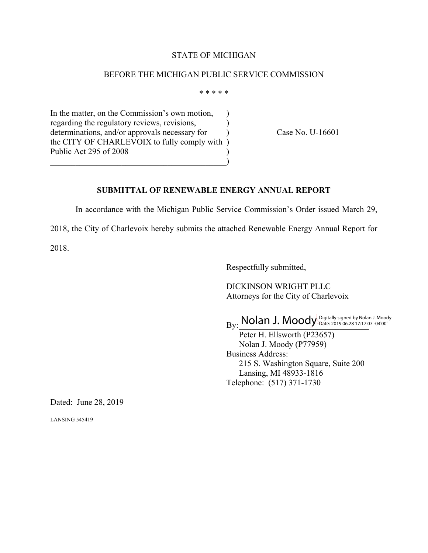## STATE OF MICHIGAN

## BEFORE THE MICHIGAN PUBLIC SERVICE COMMISSION

\* \* \* \* \*

In the matter, on the Commission's own motion, regarding the regulatory reviews, revisions,  $\qquad \qquad$ ) determinations, and/or approvals necessary for  $\qquad$  Case No. U-16601 the CITY OF CHARLEVOIX to fully comply with ) Public Act 295 of 2008  $\qquad \qquad \qquad \qquad \qquad \qquad \qquad$ 

## **SUBMITTAL OF RENEWABLE ENERGY ANNUAL REPORT**

In accordance with the Michigan Public Service Commission's Order issued March 29,

2018, the City of Charlevoix hereby submits the attached Renewable Energy Annual Report for

2018.

Respectfully submitted,

DICKINSON WRIGHT PLLC Attorneys for the City of Charlevoix

 $_{\rm By:}$  Nolan J. Moody  $_{\rm Date:~2019.06.28}$  17:17:07 -04'00'

 Peter H. Ellsworth (P23657) Nolan J. Moody (P77959) Business Address: 215 S. Washington Square, Suite 200 Lansing, MI 48933-1816 Telephone: (517) 371-1730

Dated: June 28, 2019

LANSING 545419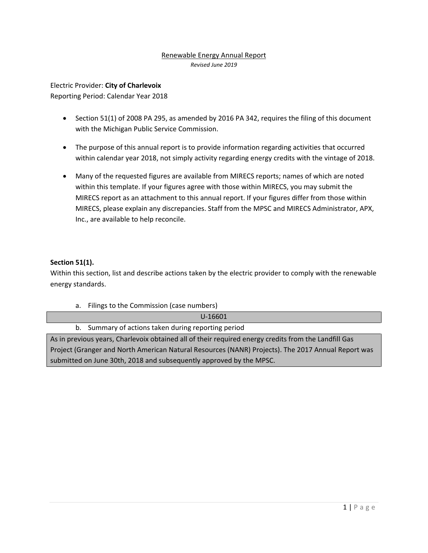### Renewable Energy Annual Report *Revised June 2019*

## Electric Provider: **City of Charlevoix**

Reporting Period: Calendar Year 2018

- Section 51(1) of 2008 PA 295, as amended by 2016 PA 342, requires the filing of this document with the Michigan Public Service Commission.
- The purpose of this annual report is to provide information regarding activities that occurred within calendar year 2018, not simply activity regarding energy credits with the vintage of 2018.
- Many of the requested figures are available from MIRECS reports; names of which are noted within this template. If your figures agree with those within MIRECS, you may submit the MIRECS report as an attachment to this annual report. If your figures differ from those within MIRECS, please explain any discrepancies. Staff from the MPSC and MIRECS Administrator, APX, Inc., are available to help reconcile.

## **Section 51(1).**

Within this section, list and describe actions taken by the electric provider to comply with the renewable energy standards.

a. Filings to the Commission (case numbers)

| U-16601                                                                                              |  |  |  |
|------------------------------------------------------------------------------------------------------|--|--|--|
| b. Summary of actions taken during reporting period                                                  |  |  |  |
| As in previous years, Charlevoix obtained all of their required energy credits from the Landfill Gas |  |  |  |
| Project (Granger and North American Natural Resources (NANR) Projects). The 2017 Annual Report was   |  |  |  |
| submitted on June 30th, 2018 and subsequently approved by the MPSC.                                  |  |  |  |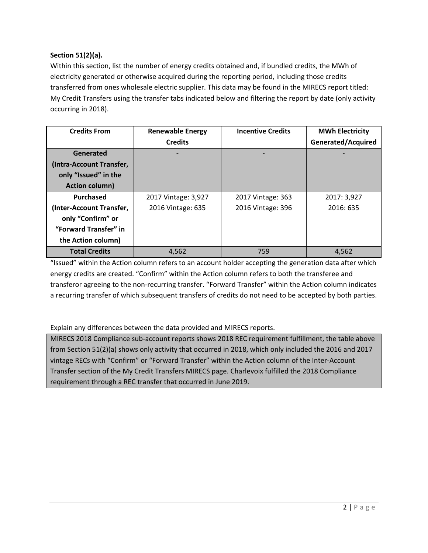# **Section 51(2)(a).**

Within this section, list the number of energy credits obtained and, if bundled credits, the MWh of electricity generated or otherwise acquired during the reporting period, including those credits transferred from ones wholesale electric supplier. This data may be found in the MIRECS report titled: My Credit Transfers using the transfer tabs indicated below and filtering the report by date (only activity occurring in 2018).

| <b>Credits From</b>      | <b>Renewable Energy</b> | <b>Incentive Credits</b> | <b>MWh Electricity</b> |  |
|--------------------------|-------------------------|--------------------------|------------------------|--|
|                          | <b>Credits</b>          |                          | Generated/Acquired     |  |
| Generated                |                         |                          |                        |  |
| (Intra-Account Transfer, |                         |                          |                        |  |
| only "Issued" in the     |                         |                          |                        |  |
| Action column)           |                         |                          |                        |  |
| Purchased                | 2017 Vintage: 3,927     | 2017 Vintage: 363        | 2017: 3,927            |  |
| (Inter-Account Transfer, | 2016 Vintage: 635       | 2016 Vintage: 396        | 2016: 635              |  |
| only "Confirm" or        |                         |                          |                        |  |
| "Forward Transfer" in    |                         |                          |                        |  |
| the Action column)       |                         |                          |                        |  |
| <b>Total Credits</b>     | 4.562                   | 759                      | 4,562                  |  |

"Issued" within the Action column refers to an account holder accepting the generation data after which energy credits are created. "Confirm" within the Action column refers to both the transferee and transferor agreeing to the non-recurring transfer. "Forward Transfer" within the Action column indicates a recurring transfer of which subsequent transfers of credits do not need to be accepted by both parties.

Explain any differences between the data provided and MIRECS reports.

MIRECS 2018 Compliance sub-account reports shows 2018 REC requirement fulfillment, the table above from Section 51(2)(a) shows only activity that occurred in 2018, which only included the 2016 and 2017 vintage RECs with "Confirm" or "Forward Transfer" within the Action column of the Inter-Account Transfer section of the My Credit Transfers MIRECS page. Charlevoix fulfilled the 2018 Compliance requirement through a REC transfer that occurred in June 2019.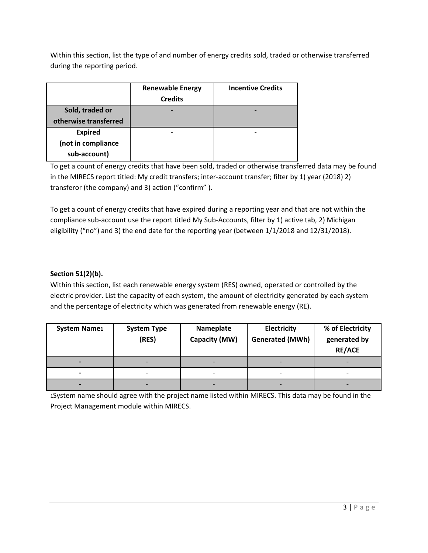Within this section, list the type of and number of energy credits sold, traded or otherwise transferred during the reporting period.

|                                                      | <b>Renewable Energy</b><br><b>Credits</b> | <b>Incentive Credits</b> |
|------------------------------------------------------|-------------------------------------------|--------------------------|
| Sold, traded or<br>otherwise transferred             |                                           |                          |
| <b>Expired</b><br>(not in compliance<br>sub-account) |                                           |                          |

To get a count of energy credits that have been sold, traded or otherwise transferred data may be found in the MIRECS report titled: My credit transfers; inter-account transfer; filter by 1) year (2018) 2) transferor (the company) and 3) action ("confirm" ).

To get a count of energy credits that have expired during a reporting year and that are not within the compliance sub-account use the report titled My Sub-Accounts, filter by 1) active tab, 2) Michigan eligibility ("no") and 3) the end date for the reporting year (between 1/1/2018 and 12/31/2018).

# **Section 51(2)(b).**

Within this section, list each renewable energy system (RES) owned, operated or controlled by the electric provider. List the capacity of each system, the amount of electricity generated by each system and the percentage of electricity which was generated from renewable energy (RE).

| <b>System Name1</b> | <b>System Type</b><br>(RES) | Nameplate<br>Capacity (MW) | Electricity<br><b>Generated (MWh)</b> | % of Electricity<br>generated by<br><b>RE/ACE</b> |
|---------------------|-----------------------------|----------------------------|---------------------------------------|---------------------------------------------------|
| $\blacksquare$      | -                           | $\overline{\phantom{0}}$   |                                       |                                                   |
| $\blacksquare$      | $\overline{\phantom{0}}$    | $\overline{\phantom{0}}$   | $\overline{\phantom{0}}$              | $\overline{\phantom{0}}$                          |
|                     |                             |                            |                                       |                                                   |

1System name should agree with the project name listed within MIRECS. This data may be found in the Project Management module within MIRECS.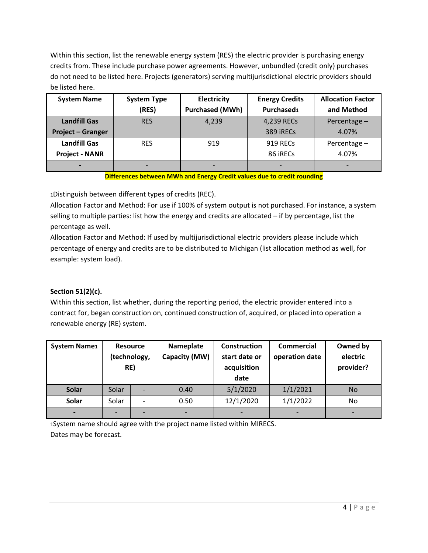Within this section, list the renewable energy system (RES) the electric provider is purchasing energy credits from. These include purchase power agreements. However, unbundled (credit only) purchases do not need to be listed here. Projects (generators) serving multijurisdictional electric providers should be listed here.

| <b>System Name</b>       | <b>System Type</b>       | Electricity            | <b>Energy Credits</b>  | <b>Allocation Factor</b> |
|--------------------------|--------------------------|------------------------|------------------------|--------------------------|
|                          | (RES)                    | <b>Purchased (MWh)</b> | Purchased <sub>1</sub> | and Method               |
| <b>Landfill Gas</b>      | <b>RES</b>               | 4.239                  | 4,239 RECs             | Percentage -             |
| <b>Project - Granger</b> |                          |                        | 389 iRECs              | 4.07%                    |
| <b>Landfill Gas</b>      | <b>RES</b>               | 919                    | 919 RECs               | Percentage-              |
| <b>Project - NANR</b>    |                          |                        | 86 iRECs               | 4.07%                    |
| $\blacksquare$           | $\overline{\phantom{0}}$ |                        |                        |                          |

**Differences between MWh and Energy Credit values due to credit rounding**

1Distinguish between different types of credits (REC).

Allocation Factor and Method: For use if 100% of system output is not purchased. For instance, a system selling to multiple parties: list how the energy and credits are allocated – if by percentage, list the percentage as well.

Allocation Factor and Method: If used by multijurisdictional electric providers please include which percentage of energy and credits are to be distributed to Michigan (list allocation method as well, for example: system load).

## **Section 51(2)(c).**

Within this section, list whether, during the reporting period, the electric provider entered into a contract for, began construction on, continued construction of, acquired, or placed into operation a renewable energy (RE) system.

| <b>System Name1</b> | <b>Resource</b><br>(technology,<br>RE) | Nameplate<br>Capacity (MW) | Construction<br>start date or<br>acquisition<br>date | <b>Commercial</b><br>operation date | Owned by<br>electric<br>provider? |
|---------------------|----------------------------------------|----------------------------|------------------------------------------------------|-------------------------------------|-----------------------------------|
| <b>Solar</b>        | Solar                                  | 0.40                       | 5/1/2020                                             | 1/1/2021                            | N <sub>o</sub>                    |
| Solar               | Solar                                  | 0.50                       | 12/1/2020                                            | 1/1/2022                            | No                                |
|                     | $\overline{\phantom{0}}$               |                            | ٠                                                    |                                     | ۰                                 |

1System name should agree with the project name listed within MIRECS. Dates may be forecast.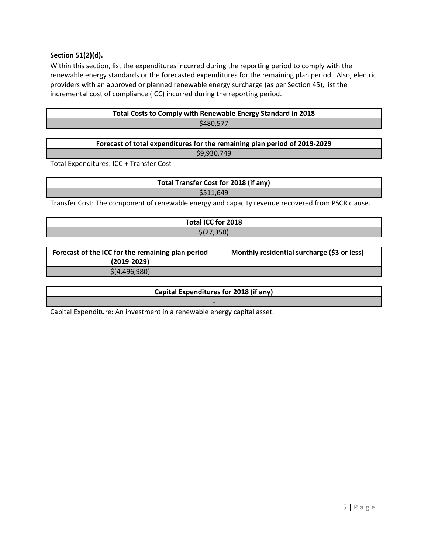## **Section 51(2)(d).**

Within this section, list the expenditures incurred during the reporting period to comply with the renewable energy standards or the forecasted expenditures for the remaining plan period. Also, electric providers with an approved or planned renewable energy surcharge (as per Section 45), list the incremental cost of compliance (ICC) incurred during the reporting period.

# **Total Costs to Comply with Renewable Energy Standard in 2018** \$480,577

# **Forecast of total expenditures for the remaining plan period of 2019-2029**

\$9,930,749

Total Expenditures: ICC + Transfer Cost

**Total Transfer Cost for 2018 (if any)** \$511,649

Transfer Cost: The component of renewable energy and capacity revenue recovered from PSCR clause.

| Total ICC for 2018                                |                                             |  |  |  |
|---------------------------------------------------|---------------------------------------------|--|--|--|
| \$(27,350)                                        |                                             |  |  |  |
|                                                   |                                             |  |  |  |
| Forecast of the ICC for the remaining plan period | Monthly residential surcharge (\$3 or less) |  |  |  |
| $(2019-2029)$                                     |                                             |  |  |  |
| \$(4,496,980)                                     |                                             |  |  |  |

**Capital Expenditures for 2018 (if any)** -

Capital Expenditure: An investment in a renewable energy capital asset.